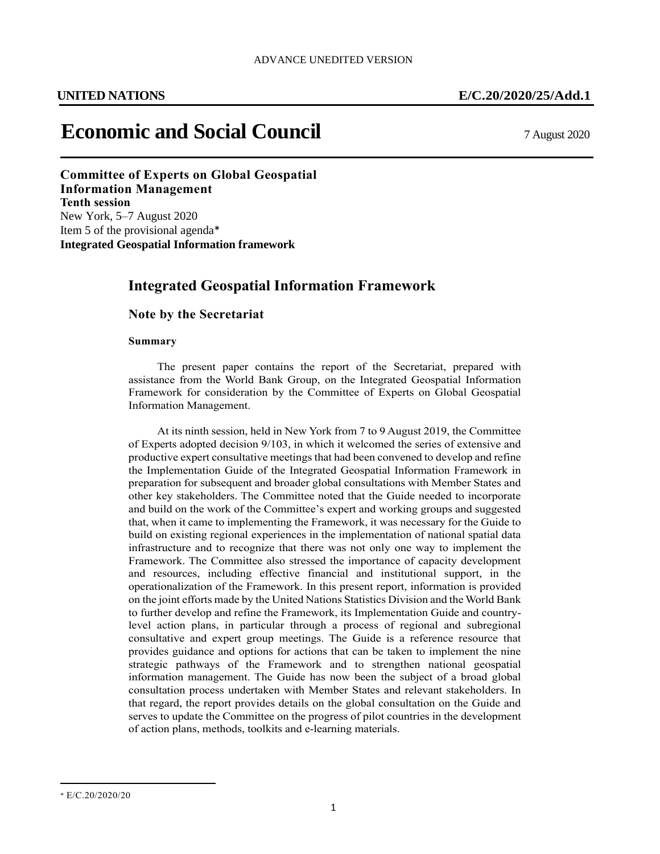# **Economic and Social Council** <sup>7</sup> August 2020

**Economic and Social Council Committee of Experts on Global Geospatial Information Management Tenth session** New York, 5–7 August 2020 Item 5 of the provisional agenda\* **Integrated Geospatial Information framework**

### **Integrated Geospatial Information Framework**

### **Note by the Secretariat**

### **Summary**

The present paper contains the report of the Secretariat, prepared with assistance from the World Bank Group, on the Integrated Geospatial Information Framework for consideration by the Committee of Experts on Global Geospatial Information Management.

At its ninth session, held in New York from 7 to 9 August 2019, the Committee of Experts adopted decision 9/103, in which it welcomed the series of extensive and productive expert consultative meetings that had been convened to develop and refine the Implementation Guide of the Integrated Geospatial Information Framework in preparation for subsequent and broader global consultations with Member States and other key stakeholders. The Committee noted that the Guide needed to incorporate and build on the work of the Committee's expert and working groups and suggested that, when it came to implementing the Framework, it was necessary for the Guide to build on existing regional experiences in the implementation of national spatial data infrastructure and to recognize that there was not only one way to implement the Framework. The Committee also stressed the importance of capacity development and resources, including effective financial and institutional support, in the operationalization of the Framework. In this present report, information is provided on the joint efforts made by the United Nations Statistics Division and the World Bank to further develop and refine the Framework, its Implementation Guide and countrylevel action plans, in particular through a process of regional and subregional consultative and expert group meetings. The Guide is a reference resource that provides guidance and options for actions that can be taken to implement the nine strategic pathways of the Framework and to strengthen national geospatial information management. The Guide has now been the subject of a broad global consultation process undertaken with Member States and relevant stakeholders. In that regard, the report provides details on the global consultation on the Guide and serves to update the Committee on the progress of pilot countries in the development of action plans, methods, toolkits and e-learning materials.

l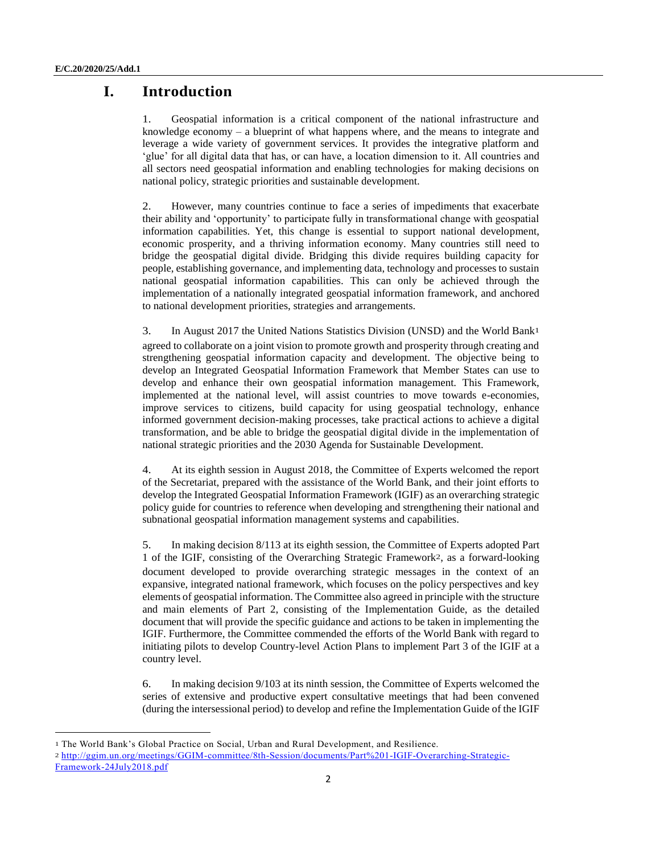$\overline{\phantom{a}}$ 

### **I. Introduction**

1. Geospatial information is a critical component of the national infrastructure and knowledge economy – a blueprint of what happens where, and the means to integrate and leverage a wide variety of government services. It provides the integrative platform and 'glue' for all digital data that has, or can have, a location dimension to it. All countries and all sectors need geospatial information and enabling technologies for making decisions on national policy, strategic priorities and sustainable development.

2. However, many countries continue to face a series of impediments that exacerbate their ability and 'opportunity' to participate fully in transformational change with geospatial information capabilities. Yet, this change is essential to support national development, economic prosperity, and a thriving information economy. Many countries still need to bridge the geospatial digital divide. Bridging this divide requires building capacity for people, establishing governance, and implementing data, technology and processes to sustain national geospatial information capabilities. This can only be achieved through the implementation of a nationally integrated geospatial information framework, and anchored to national development priorities, strategies and arrangements.

3. In August 2017 the United Nations Statistics Division (UNSD) and the World Bank1 agreed to collaborate on a joint vision to promote growth and prosperity through creating and strengthening geospatial information capacity and development. The objective being to develop an Integrated Geospatial Information Framework that Member States can use to develop and enhance their own geospatial information management. This Framework, implemented at the national level, will assist countries to move towards e-economies, improve services to citizens, build capacity for using geospatial technology, enhance informed government decision-making processes, take practical actions to achieve a digital transformation, and be able to bridge the geospatial digital divide in the implementation of national strategic priorities and the 2030 Agenda for Sustainable Development.

4. At its eighth session in August 2018, the Committee of Experts welcomed the report of the Secretariat, prepared with the assistance of the World Bank, and their joint efforts to develop the Integrated Geospatial Information Framework (IGIF) as an overarching strategic policy guide for countries to reference when developing and strengthening their national and subnational geospatial information management systems and capabilities.

5. In making decision 8/113 at its eighth session, the Committee of Experts adopted Part 1 of the IGIF, consisting of the Overarching Strategic Framework2, as a forward-looking document developed to provide overarching strategic messages in the context of an expansive, integrated national framework, which focuses on the policy perspectives and key elements of geospatial information. The Committee also agreed in principle with the structure and main elements of Part 2, consisting of the Implementation Guide, as the detailed document that will provide the specific guidance and actions to be taken in implementing the IGIF. Furthermore, the Committee commended the efforts of the World Bank with regard to initiating pilots to develop Country-level Action Plans to implement Part 3 of the IGIF at a country level.

6. In making decision 9/103 at its ninth session, the Committee of Experts welcomed the series of extensive and productive expert consultative meetings that had been convened (during the intersessional period) to develop and refine the Implementation Guide of the IGIF

<sup>1</sup> The World Bank's Global Practice on Social, Urban and Rural Development, and Resilience.

<sup>2</sup> [http://ggim.un.org/meetings/GGIM-committee/8th-Session/documents/Part%201-IGIF-Overarching-Strategic-](http://ggim.un.org/meetings/GGIM-committee/8th-Session/documents/Part%201-IGIF-Overarching-Strategic-Framework-24July2018.pdf)[Framework-24July2018.pdf](http://ggim.un.org/meetings/GGIM-committee/8th-Session/documents/Part%201-IGIF-Overarching-Strategic-Framework-24July2018.pdf)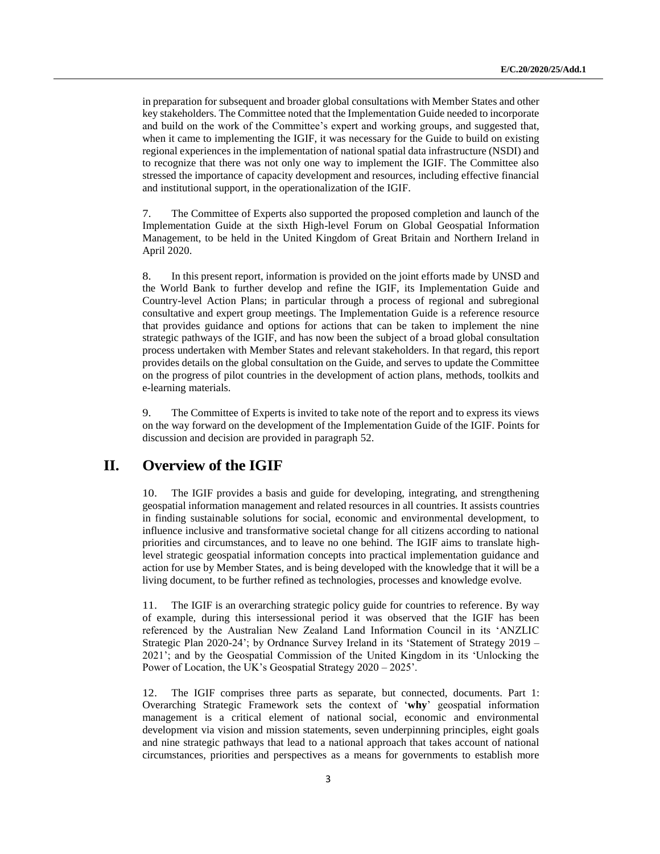in preparation for subsequent and broader global consultations with Member States and other key stakeholders. The Committee noted that the Implementation Guide needed to incorporate and build on the work of the Committee's expert and working groups, and suggested that, when it came to implementing the IGIF, it was necessary for the Guide to build on existing regional experiences in the implementation of national spatial data infrastructure (NSDI) and to recognize that there was not only one way to implement the IGIF. The Committee also stressed the importance of capacity development and resources, including effective financial and institutional support, in the operationalization of the IGIF.

7. The Committee of Experts also supported the proposed completion and launch of the Implementation Guide at the sixth High-level Forum on Global Geospatial Information Management, to be held in the United Kingdom of Great Britain and Northern Ireland in April 2020.

8. In this present report, information is provided on the joint efforts made by UNSD and the World Bank to further develop and refine the IGIF, its Implementation Guide and Country-level Action Plans; in particular through a process of regional and subregional consultative and expert group meetings. The Implementation Guide is a reference resource that provides guidance and options for actions that can be taken to implement the nine strategic pathways of the IGIF, and has now been the subject of a broad global consultation process undertaken with Member States and relevant stakeholders. In that regard, this report provides details on the global consultation on the Guide, and serves to update the Committee on the progress of pilot countries in the development of action plans, methods, toolkits and e-learning materials.

9. The Committee of Experts is invited to take note of the report and to express its views on the way forward on the development of the Implementation Guide of the IGIF. Points for discussion and decision are provided in paragraph 52.

### **II. Overview of the IGIF**

10. The IGIF provides a basis and guide for developing, integrating, and strengthening geospatial information management and related resources in all countries. It assists countries in finding sustainable solutions for social, economic and environmental development, to influence inclusive and transformative societal change for all citizens according to national priorities and circumstances, and to leave no one behind. The IGIF aims to translate highlevel strategic geospatial information concepts into practical implementation guidance and action for use by Member States, and is being developed with the knowledge that it will be a living document, to be further refined as technologies, processes and knowledge evolve.

11. The IGIF is an overarching strategic policy guide for countries to reference. By way of example, during this intersessional period it was observed that the IGIF has been referenced by the Australian New Zealand Land Information Council in its 'ANZLIC Strategic Plan 2020-24'; by Ordnance Survey Ireland in its 'Statement of Strategy 2019 – 2021'; and by the Geospatial Commission of the United Kingdom in its 'Unlocking the Power of Location, the UK's Geospatial Strategy 2020 – 2025'.

12. The IGIF comprises three parts as separate, but connected, documents. Part 1: Overarching Strategic Framework sets the context of '**why**' geospatial information management is a critical element of national social, economic and environmental development via vision and mission statements, seven underpinning principles, eight goals and nine strategic pathways that lead to a national approach that takes account of national circumstances, priorities and perspectives as a means for governments to establish more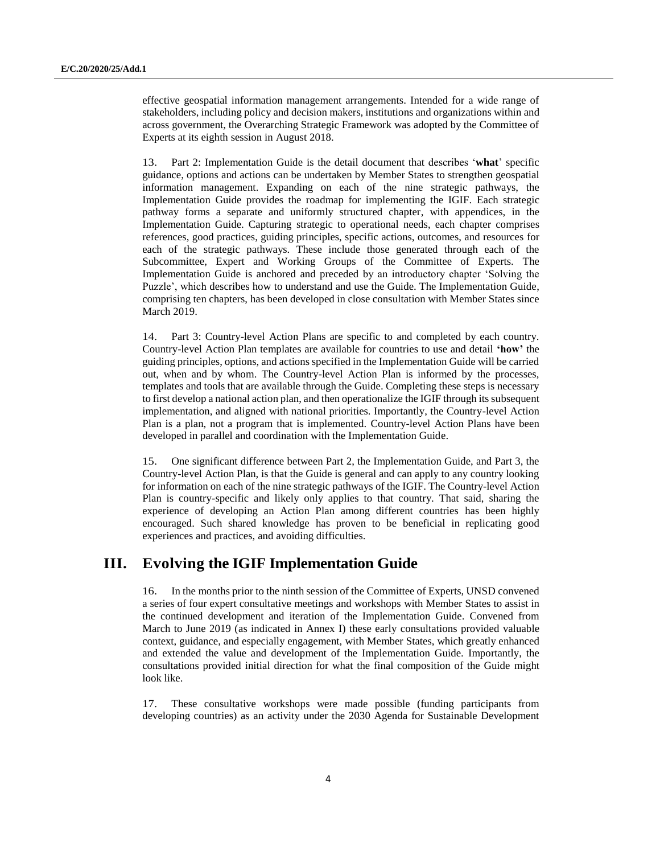effective geospatial information management arrangements. Intended for a wide range of stakeholders, including policy and decision makers, institutions and organizations within and across government, the Overarching Strategic Framework was adopted by the Committee of Experts at its eighth session in August 2018.

13. Part 2: Implementation Guide is the detail document that describes '**what**' specific guidance, options and actions can be undertaken by Member States to strengthen geospatial information management. Expanding on each of the nine strategic pathways, the Implementation Guide provides the roadmap for implementing the IGIF. Each strategic pathway forms a separate and uniformly structured chapter, with appendices, in the Implementation Guide. Capturing strategic to operational needs, each chapter comprises references, good practices, guiding principles, specific actions, outcomes, and resources for each of the strategic pathways. These include those generated through each of the Subcommittee, Expert and Working Groups of the Committee of Experts. The Implementation Guide is anchored and preceded by an introductory chapter 'Solving the Puzzle', which describes how to understand and use the Guide. The Implementation Guide, comprising ten chapters, has been developed in close consultation with Member States since March 2019.

14. Part 3: Country-level Action Plans are specific to and completed by each country. Country-level Action Plan templates are available for countries to use and detail **'how'** the guiding principles, options, and actions specified in the Implementation Guide will be carried out, when and by whom. The Country-level Action Plan is informed by the processes, templates and tools that are available through the Guide. Completing these steps is necessary to first develop a national action plan, and then operationalize the IGIF through its subsequent implementation, and aligned with national priorities. Importantly, the Country-level Action Plan is a plan, not a program that is implemented. Country-level Action Plans have been developed in parallel and coordination with the Implementation Guide.

15. One significant difference between Part 2, the Implementation Guide, and Part 3, the Country-level Action Plan, is that the Guide is general and can apply to any country looking for information on each of the nine strategic pathways of the IGIF. The Country-level Action Plan is country-specific and likely only applies to that country. That said, sharing the experience of developing an Action Plan among different countries has been highly encouraged. Such shared knowledge has proven to be beneficial in replicating good experiences and practices, and avoiding difficulties.

### **III. Evolving the IGIF Implementation Guide**

16. In the months prior to the ninth session of the Committee of Experts, UNSD convened a series of four expert consultative meetings and workshops with Member States to assist in the continued development and iteration of the Implementation Guide. Convened from March to June 2019 (as indicated in Annex I) these early consultations provided valuable context, guidance, and especially engagement, with Member States, which greatly enhanced and extended the value and development of the Implementation Guide. Importantly, the consultations provided initial direction for what the final composition of the Guide might look like.

17. These consultative workshops were made possible (funding participants from developing countries) as an activity under the 2030 Agenda for Sustainable Development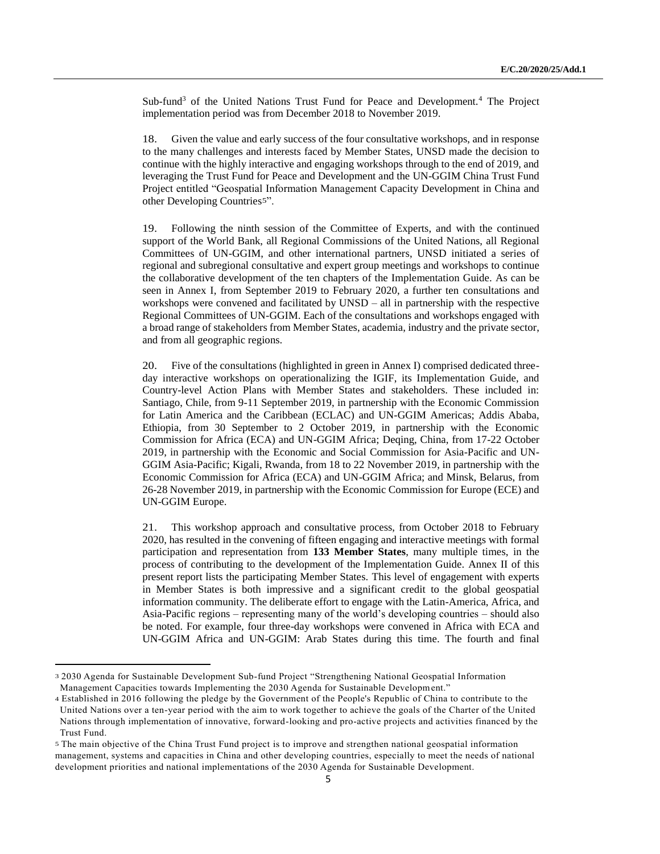Sub-fund<sup>3</sup> of the United Nations Trust Fund for Peace and Development.<sup>4</sup> The Project implementation period was from December 2018 to November 2019.

18. Given the value and early success of the four consultative workshops, and in response to the many challenges and interests faced by Member States, UNSD made the decision to continue with the highly interactive and engaging workshops through to the end of 2019, and leveraging the Trust Fund for Peace and Development and the UN-GGIM China Trust Fund Project entitled "Geospatial Information Management Capacity Development in China and other Developing Countries5".

19. Following the ninth session of the Committee of Experts, and with the continued support of the World Bank, all Regional Commissions of the United Nations, all Regional Committees of UN-GGIM, and other international partners, UNSD initiated a series of regional and subregional consultative and expert group meetings and workshops to continue the collaborative development of the ten chapters of the Implementation Guide. As can be seen in Annex I, from September 2019 to February 2020, a further ten consultations and workshops were convened and facilitated by UNSD – all in partnership with the respective Regional Committees of UN-GGIM. Each of the consultations and workshops engaged with a broad range of stakeholders from Member States, academia, industry and the private sector, and from all geographic regions.

20. Five of the consultations (highlighted in green in Annex I) comprised dedicated threeday interactive workshops on operationalizing the IGIF, its Implementation Guide, and Country-level Action Plans with Member States and stakeholders. These included in: Santiago, Chile, from 9-11 September 2019, in partnership with the Economic Commission for Latin America and the Caribbean (ECLAC) and UN-GGIM Americas; Addis Ababa, Ethiopia, from 30 September to 2 October 2019, in partnership with the Economic Commission for Africa (ECA) and UN-GGIM Africa; Deqing, China, from 17-22 October 2019, in partnership with the Economic and Social Commission for Asia-Pacific and UN-GGIM Asia-Pacific; Kigali, Rwanda, from 18 to 22 November 2019, in partnership with the Economic Commission for Africa (ECA) and UN-GGIM Africa; and Minsk, Belarus, from 26-28 November 2019, in partnership with the Economic Commission for Europe (ECE) and UN-GGIM Europe.

21. This workshop approach and consultative process, from October 2018 to February 2020, has resulted in the convening of fifteen engaging and interactive meetings with formal participation and representation from **133 Member States**, many multiple times, in the process of contributing to the development of the Implementation Guide. Annex II of this present report lists the participating Member States. This level of engagement with experts in Member States is both impressive and a significant credit to the global geospatial information community. The deliberate effort to engage with the Latin-America, Africa, and Asia-Pacific regions – representing many of the world's developing countries – should also be noted. For example, four three-day workshops were convened in Africa with ECA and UN-GGIM Africa and UN-GGIM: Arab States during this time. The fourth and final

 $\overline{\phantom{a}}$ 

<sup>3</sup> 2030 Agenda for Sustainable Development Sub-fund Project "Strengthening National Geospatial Information Management Capacities towards Implementing the 2030 Agenda for Sustainable Development."

<sup>4</sup> Established in 2016 following the pledge by the Government of the People's Republic of China to contribute to the United Nations over a ten-year period with the aim to work together to achieve the goals of the Charter of the United Nations through implementation of innovative, forward-looking and pro-active projects and activities financed by the Trust Fund.

<sup>5</sup> The main objective of the China Trust Fund project is to improve and strengthen national geospatial information management, systems and capacities in China and other developing countries, especially to meet the needs of national development priorities and national implementations of the 2030 Agenda for Sustainable Development.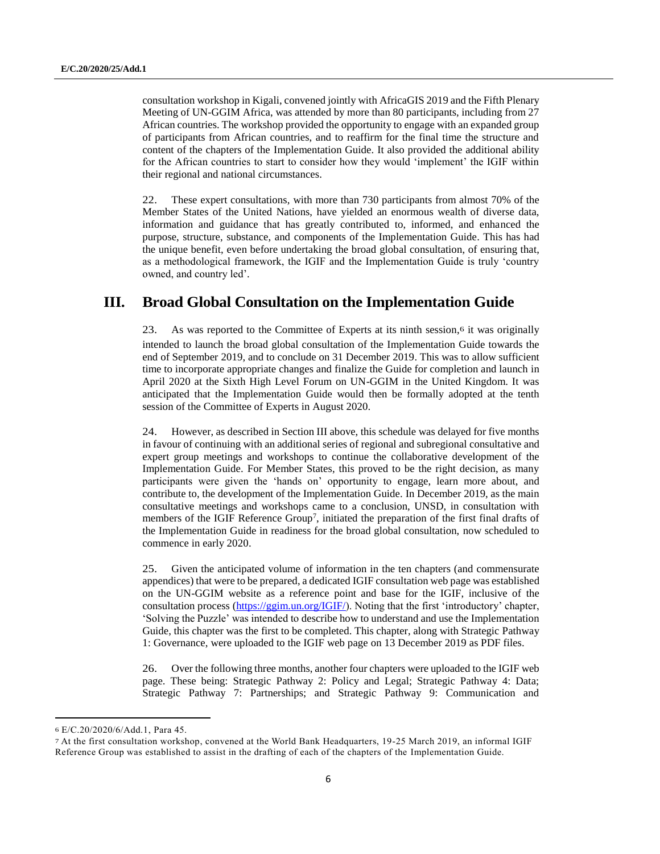consultation workshop in Kigali, convened jointly with AfricaGIS 2019 and the Fifth Plenary Meeting of UN-GGIM Africa, was attended by more than 80 participants, including from 27 African countries. The workshop provided the opportunity to engage with an expanded group of participants from African countries, and to reaffirm for the final time the structure and content of the chapters of the Implementation Guide. It also provided the additional ability for the African countries to start to consider how they would 'implement' the IGIF within their regional and national circumstances.

22. These expert consultations, with more than 730 participants from almost 70% of the Member States of the United Nations, have yielded an enormous wealth of diverse data, information and guidance that has greatly contributed to, informed, and enhanced the purpose, structure, substance, and components of the Implementation Guide. This has had the unique benefit, even before undertaking the broad global consultation, of ensuring that, as a methodological framework, the IGIF and the Implementation Guide is truly 'country owned, and country led'.

### **III. Broad Global Consultation on the Implementation Guide**

23. As was reported to the Committee of Experts at its ninth session,6 it was originally intended to launch the broad global consultation of the Implementation Guide towards the end of September 2019, and to conclude on 31 December 2019. This was to allow sufficient time to incorporate appropriate changes and finalize the Guide for completion and launch in April 2020 at the Sixth High Level Forum on UN-GGIM in the United Kingdom. It was anticipated that the Implementation Guide would then be formally adopted at the tenth session of the Committee of Experts in August 2020.

24. However, as described in Section III above, this schedule was delayed for five months in favour of continuing with an additional series of regional and subregional consultative and expert group meetings and workshops to continue the collaborative development of the Implementation Guide. For Member States, this proved to be the right decision, as many participants were given the 'hands on' opportunity to engage, learn more about, and contribute to, the development of the Implementation Guide. In December 2019, as the main consultative meetings and workshops came to a conclusion, UNSD, in consultation with members of the IGIF Reference Group<sup>7</sup>, initiated the preparation of the first final drafts of the Implementation Guide in readiness for the broad global consultation, now scheduled to commence in early 2020.

25. Given the anticipated volume of information in the ten chapters (and commensurate appendices) that were to be prepared, a dedicated IGIF consultation web page was established on the UN-GGIM website as a reference point and base for the IGIF, inclusive of the consultation process [\(https://ggim.un.org/IGIF/\)](https://ggim.un.org/IGIF/). Noting that the first 'introductory' chapter, 'Solving the Puzzle' was intended to describe how to understand and use the Implementation Guide, this chapter was the first to be completed. This chapter, along with Strategic Pathway 1: Governance, were uploaded to the IGIF web page on 13 December 2019 as PDF files.

26. Over the following three months, another four chapters were uploaded to the IGIF web page. These being: Strategic Pathway 2: Policy and Legal; Strategic Pathway 4: Data; Strategic Pathway 7: Partnerships; and Strategic Pathway 9: Communication and

 $\overline{a}$ 

<sup>6</sup> E/C.20/2020/6/Add.1, Para 45.

<sup>7</sup> At the first consultation workshop, convened at the World Bank Headquarters, 19-25 March 2019, an informal IGIF Reference Group was established to assist in the drafting of each of the chapters of the Implementation Guide.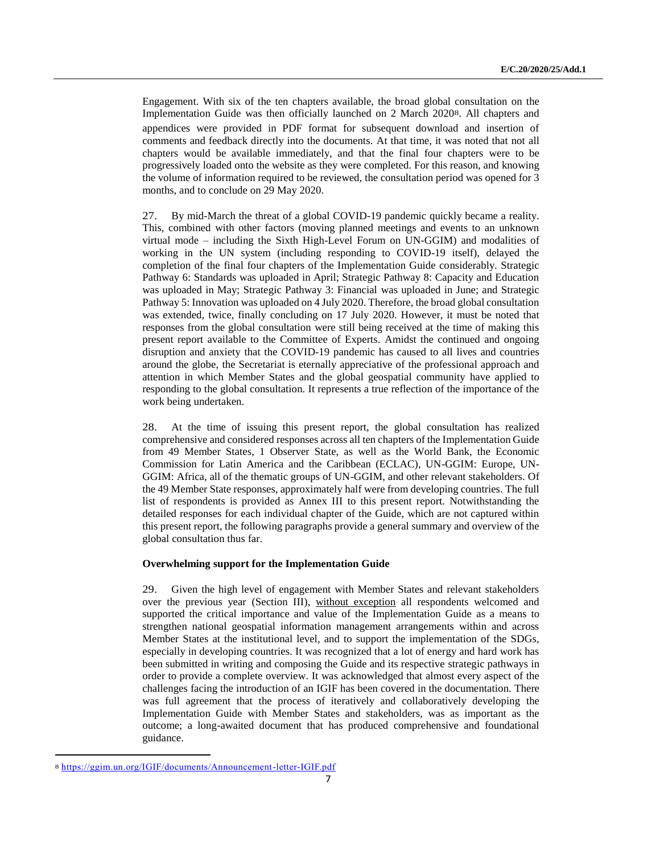Engagement. With six of the ten chapters available, the broad global consultation on the Implementation Guide was then officially launched on 2 March 20208. All chapters and appendices were provided in PDF format for subsequent download and insertion of comments and feedback directly into the documents. At that time, it was noted that not all chapters would be available immediately, and that the final four chapters were to be progressively loaded onto the website as they were completed. For this reason, and knowing the volume of information required to be reviewed, the consultation period was opened for 3 months, and to conclude on 29 May 2020.

27. By mid-March the threat of a global COVID-19 pandemic quickly became a reality. This, combined with other factors (moving planned meetings and events to an unknown virtual mode – including the Sixth High-Level Forum on UN-GGIM) and modalities of working in the UN system (including responding to COVID-19 itself), delayed the completion of the final four chapters of the Implementation Guide considerably. Strategic Pathway 6: Standards was uploaded in April; Strategic Pathway 8: Capacity and Education was uploaded in May; Strategic Pathway 3: Financial was uploaded in June; and Strategic Pathway 5: Innovation was uploaded on 4 July 2020. Therefore, the broad global consultation was extended, twice, finally concluding on 17 July 2020. However, it must be noted that responses from the global consultation were still being received at the time of making this present report available to the Committee of Experts. Amidst the continued and ongoing disruption and anxiety that the COVID-19 pandemic has caused to all lives and countries around the globe, the Secretariat is eternally appreciative of the professional approach and attention in which Member States and the global geospatial community have applied to responding to the global consultation. It represents a true reflection of the importance of the work being undertaken.

28. At the time of issuing this present report, the global consultation has realized comprehensive and considered responses across all ten chapters of the Implementation Guide from 49 Member States, 1 Observer State, as well as the World Bank, the Economic Commission for Latin America and the Caribbean (ECLAC), UN-GGIM: Europe, UN-GGIM: Africa, all of the thematic groups of UN-GGIM, and other relevant stakeholders. Of the 49 Member State responses, approximately half were from developing countries. The full list of respondents is provided as Annex III to this present report. Notwithstanding the detailed responses for each individual chapter of the Guide, which are not captured within this present report, the following paragraphs provide a general summary and overview of the global consultation thus far.

#### **Overwhelming support for the Implementation Guide**

29. Given the high level of engagement with Member States and relevant stakeholders over the previous year (Section III), without exception all respondents welcomed and supported the critical importance and value of the Implementation Guide as a means to strengthen national geospatial information management arrangements within and across Member States at the institutional level, and to support the implementation of the SDGs, especially in developing countries. It was recognized that a lot of energy and hard work has been submitted in writing and composing the Guide and its respective strategic pathways in order to provide a complete overview. It was acknowledged that almost every aspect of the challenges facing the introduction of an IGIF has been covered in the documentation. There was full agreement that the process of iteratively and collaboratively developing the Implementation Guide with Member States and stakeholders, was as important as the outcome; a long-awaited document that has produced comprehensive and foundational guidance.

 $\overline{\phantom{a}}$ 

<sup>8</sup> <https://ggim.un.org/IGIF/documents/Announcement-letter-IGIF.pdf>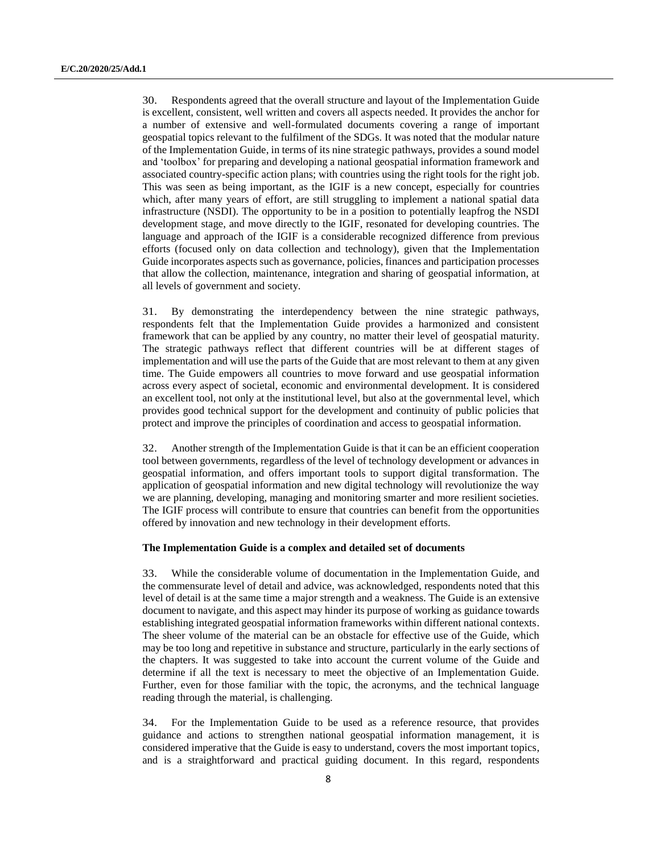30. Respondents agreed that the overall structure and layout of the Implementation Guide is excellent, consistent, well written and covers all aspects needed. It provides the anchor for a number of extensive and well-formulated documents covering a range of important geospatial topics relevant to the fulfilment of the SDGs. It was noted that the modular nature of the Implementation Guide, in terms of its nine strategic pathways, provides a sound model and 'toolbox' for preparing and developing a national geospatial information framework and associated country-specific action plans; with countries using the right tools for the right job. This was seen as being important, as the IGIF is a new concept, especially for countries which, after many years of effort, are still struggling to implement a national spatial data infrastructure (NSDI). The opportunity to be in a position to potentially leapfrog the NSDI development stage, and move directly to the IGIF, resonated for developing countries. The language and approach of the IGIF is a considerable recognized difference from previous efforts (focused only on data collection and technology), given that the Implementation Guide incorporates aspects such as governance, policies, finances and participation processes that allow the collection, maintenance, integration and sharing of geospatial information, at all levels of government and society.

31. By demonstrating the interdependency between the nine strategic pathways, respondents felt that the Implementation Guide provides a harmonized and consistent framework that can be applied by any country, no matter their level of geospatial maturity. The strategic pathways reflect that different countries will be at different stages of implementation and will use the parts of the Guide that are most relevant to them at any given time. The Guide empowers all countries to move forward and use geospatial information across every aspect of societal, economic and environmental development. It is considered an excellent tool, not only at the institutional level, but also at the governmental level, which provides good technical support for the development and continuity of public policies that protect and improve the principles of coordination and access to geospatial information.

32. Another strength of the Implementation Guide is that it can be an efficient cooperation tool between governments, regardless of the level of technology development or advances in geospatial information, and offers important tools to support digital transformation. The application of geospatial information and new digital technology will revolutionize the way we are planning, developing, managing and monitoring smarter and more resilient societies. The IGIF process will contribute to ensure that countries can benefit from the opportunities offered by innovation and new technology in their development efforts.

### **The Implementation Guide is a complex and detailed set of documents**

33. While the considerable volume of documentation in the Implementation Guide, and the commensurate level of detail and advice, was acknowledged, respondents noted that this level of detail is at the same time a major strength and a weakness. The Guide is an extensive document to navigate, and this aspect may hinder its purpose of working as guidance towards establishing integrated geospatial information frameworks within different national contexts. The sheer volume of the material can be an obstacle for effective use of the Guide, which may be too long and repetitive in substance and structure, particularly in the early sections of the chapters. It was suggested to take into account the current volume of the Guide and determine if all the text is necessary to meet the objective of an Implementation Guide. Further, even for those familiar with the topic, the acronyms, and the technical language reading through the material, is challenging.

34. For the Implementation Guide to be used as a reference resource, that provides guidance and actions to strengthen national geospatial information management, it is considered imperative that the Guide is easy to understand, covers the most important topics, and is a straightforward and practical guiding document. In this regard, respondents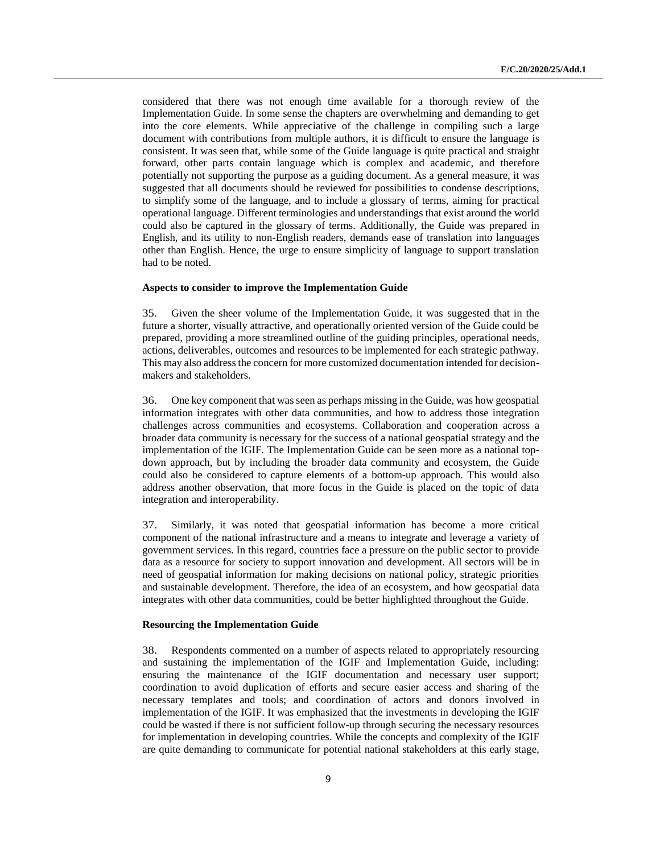considered that there was not enough time available for a thorough review of the Implementation Guide. In some sense the chapters are overwhelming and demanding to get into the core elements. While appreciative of the challenge in compiling such a large document with contributions from multiple authors, it is difficult to ensure the language is consistent. It was seen that, while some of the Guide language is quite practical and straight forward, other parts contain language which is complex and academic, and therefore potentially not supporting the purpose as a guiding document. As a general measure, it was suggested that all documents should be reviewed for possibilities to condense descriptions, to simplify some of the language, and to include a glossary of terms, aiming for practical operational language. Different terminologies and understandings that exist around the world could also be captured in the glossary of terms. Additionally, the Guide was prepared in English, and its utility to non-English readers, demands ease of translation into languages other than English. Hence, the urge to ensure simplicity of language to support translation had to be noted.

#### **Aspects to consider to improve the Implementation Guide**

35. Given the sheer volume of the Implementation Guide, it was suggested that in the future a shorter, visually attractive, and operationally oriented version of the Guide could be prepared, providing a more streamlined outline of the guiding principles, operational needs, actions, deliverables, outcomes and resources to be implemented for each strategic pathway. This may also address the concern for more customized documentation intended for decisionmakers and stakeholders.

36. One key component that was seen as perhaps missing in the Guide, was how geospatial information integrates with other data communities, and how to address those integration challenges across communities and ecosystems. Collaboration and cooperation across a broader data community is necessary for the success of a national geospatial strategy and the implementation of the IGIF. The Implementation Guide can be seen more as a national topdown approach, but by including the broader data community and ecosystem, the Guide could also be considered to capture elements of a bottom-up approach. This would also address another observation, that more focus in the Guide is placed on the topic of data integration and interoperability.

37. Similarly, it was noted that geospatial information has become a more critical component of the national infrastructure and a means to integrate and leverage a variety of government services. In this regard, countries face a pressure on the public sector to provide data as a resource for society to support innovation and development. All sectors will be in need of geospatial information for making decisions on national policy, strategic priorities and sustainable development. Therefore, the idea of an ecosystem, and how geospatial data integrates with other data communities, could be better highlighted throughout the Guide.

#### **Resourcing the Implementation Guide**

38. Respondents commented on a number of aspects related to appropriately resourcing and sustaining the implementation of the IGIF and Implementation Guide, including: ensuring the maintenance of the IGIF documentation and necessary user support; coordination to avoid duplication of efforts and secure easier access and sharing of the necessary templates and tools; and coordination of actors and donors involved in implementation of the IGIF. It was emphasized that the investments in developing the IGIF could be wasted if there is not sufficient follow-up through securing the necessary resources for implementation in developing countries. While the concepts and complexity of the IGIF are quite demanding to communicate for potential national stakeholders at this early stage,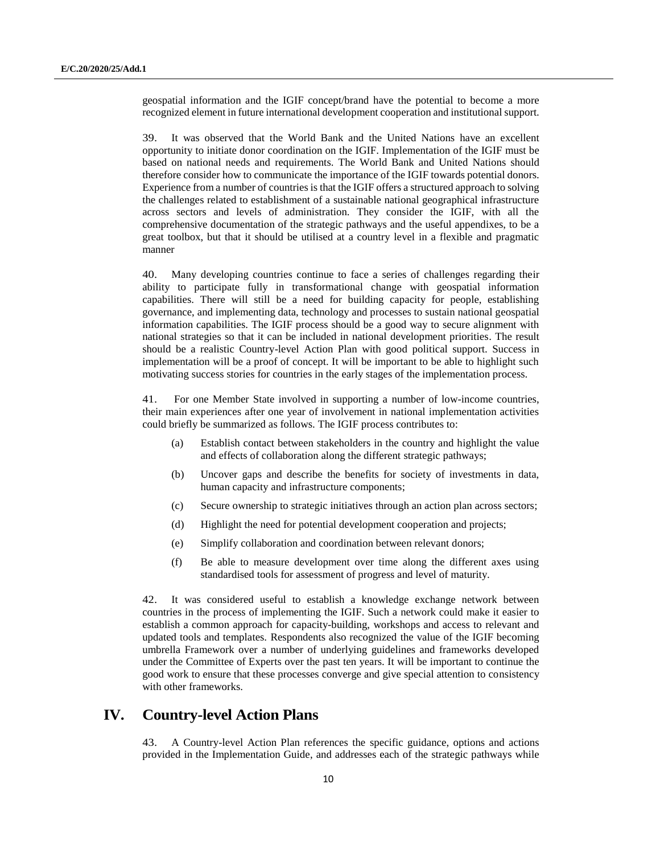geospatial information and the IGIF concept/brand have the potential to become a more recognized element in future international development cooperation and institutional support.

39. It was observed that the World Bank and the United Nations have an excellent opportunity to initiate donor coordination on the IGIF. Implementation of the IGIF must be based on national needs and requirements. The World Bank and United Nations should therefore consider how to communicate the importance of the IGIF towards potential donors. Experience from a number of countries is that the IGIF offers a structured approach to solving the challenges related to establishment of a sustainable national geographical infrastructure across sectors and levels of administration. They consider the IGIF, with all the comprehensive documentation of the strategic pathways and the useful appendixes, to be a great toolbox, but that it should be utilised at a country level in a flexible and pragmatic manner

40. Many developing countries continue to face a series of challenges regarding their ability to participate fully in transformational change with geospatial information capabilities. There will still be a need for building capacity for people, establishing governance, and implementing data, technology and processes to sustain national geospatial information capabilities. The IGIF process should be a good way to secure alignment with national strategies so that it can be included in national development priorities. The result should be a realistic Country-level Action Plan with good political support. Success in implementation will be a proof of concept. It will be important to be able to highlight such motivating success stories for countries in the early stages of the implementation process.

41. For one Member State involved in supporting a number of low-income countries, their main experiences after one year of involvement in national implementation activities could briefly be summarized as follows. The IGIF process contributes to:

- (a) Establish contact between stakeholders in the country and highlight the value and effects of collaboration along the different strategic pathways;
- (b) Uncover gaps and describe the benefits for society of investments in data, human capacity and infrastructure components;
- (c) Secure ownership to strategic initiatives through an action plan across sectors;
- (d) Highlight the need for potential development cooperation and projects;
- (e) Simplify collaboration and coordination between relevant donors;
- (f) Be able to measure development over time along the different axes using standardised tools for assessment of progress and level of maturity.

42. It was considered useful to establish a knowledge exchange network between countries in the process of implementing the IGIF. Such a network could make it easier to establish a common approach for capacity-building, workshops and access to relevant and updated tools and templates. Respondents also recognized the value of the IGIF becoming umbrella Framework over a number of underlying guidelines and frameworks developed under the Committee of Experts over the past ten years. It will be important to continue the good work to ensure that these processes converge and give special attention to consistency with other frameworks.

### **IV. Country-level Action Plans**

43. A Country-level Action Plan references the specific guidance, options and actions provided in the Implementation Guide, and addresses each of the strategic pathways while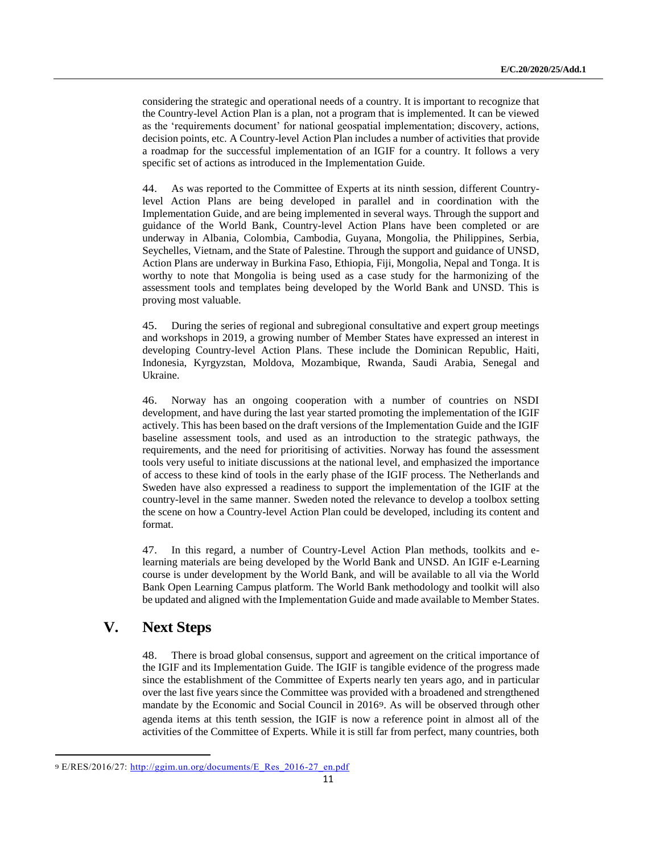considering the strategic and operational needs of a country. It is important to recognize that the Country-level Action Plan is a plan, not a program that is implemented. It can be viewed as the 'requirements document' for national geospatial implementation; discovery, actions, decision points, etc. A Country-level Action Plan includes a number of activities that provide a roadmap for the successful implementation of an IGIF for a country. It follows a very specific set of actions as introduced in the Implementation Guide.

44. As was reported to the Committee of Experts at its ninth session, different Countrylevel Action Plans are being developed in parallel and in coordination with the Implementation Guide, and are being implemented in several ways. Through the support and guidance of the World Bank, Country-level Action Plans have been completed or are underway in Albania, Colombia, Cambodia, Guyana, Mongolia, the Philippines, Serbia, Seychelles, Vietnam, and the State of Palestine. Through the support and guidance of UNSD, Action Plans are underway in Burkina Faso, Ethiopia, Fiji, Mongolia, Nepal and Tonga. It is worthy to note that Mongolia is being used as a case study for the harmonizing of the assessment tools and templates being developed by the World Bank and UNSD. This is proving most valuable.

45. During the series of regional and subregional consultative and expert group meetings and workshops in 2019, a growing number of Member States have expressed an interest in developing Country-level Action Plans. These include the Dominican Republic, Haiti, Indonesia, Kyrgyzstan, Moldova, Mozambique, Rwanda, Saudi Arabia, Senegal and Ukraine.

46. Norway has an ongoing cooperation with a number of countries on NSDI development, and have during the last year started promoting the implementation of the IGIF actively. This has been based on the draft versions of the Implementation Guide and the IGIF baseline assessment tools, and used as an introduction to the strategic pathways, the requirements, and the need for prioritising of activities. Norway has found the assessment tools very useful to initiate discussions at the national level, and emphasized the importance of access to these kind of tools in the early phase of the IGIF process. The Netherlands and Sweden have also expressed a readiness to support the implementation of the IGIF at the country-level in the same manner. Sweden noted the relevance to develop a toolbox setting the scene on how a Country-level Action Plan could be developed, including its content and format.

47. In this regard, a number of Country-Level Action Plan methods, toolkits and elearning materials are being developed by the World Bank and UNSD. An IGIF e-Learning course is under development by the World Bank, and will be available to all via the World Bank Open Learning Campus platform. The World Bank methodology and toolkit will also be updated and aligned with the Implementation Guide and made available to Member States.

### **V. Next Steps**

 $\overline{\phantom{a}}$ 

48. There is broad global consensus, support and agreement on the critical importance of the IGIF and its Implementation Guide. The IGIF is tangible evidence of the progress made since the establishment of the Committee of Experts nearly ten years ago, and in particular over the last five years since the Committee was provided with a broadened and strengthened mandate by the Economic and Social Council in 20169. As will be observed through other agenda items at this tenth session, the IGIF is now a reference point in almost all of the activities of the Committee of Experts. While it is still far from perfect, many countries, both

<sup>9</sup> E/RES/2016/27: [http://ggim.un.org/documents/E\\_Res\\_2016-27\\_en.pdf](http://ggim.un.org/documents/E_Res_2016-27_en.pdf)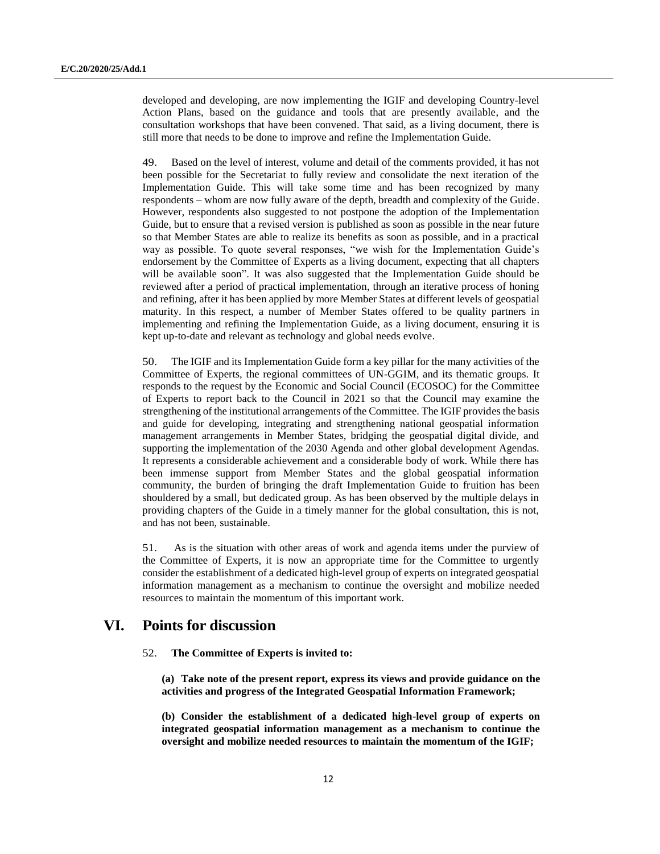developed and developing, are now implementing the IGIF and developing Country-level Action Plans, based on the guidance and tools that are presently available, and the consultation workshops that have been convened. That said, as a living document, there is still more that needs to be done to improve and refine the Implementation Guide.

49. Based on the level of interest, volume and detail of the comments provided, it has not been possible for the Secretariat to fully review and consolidate the next iteration of the Implementation Guide. This will take some time and has been recognized by many respondents – whom are now fully aware of the depth, breadth and complexity of the Guide. However, respondents also suggested to not postpone the adoption of the Implementation Guide, but to ensure that a revised version is published as soon as possible in the near future so that Member States are able to realize its benefits as soon as possible, and in a practical way as possible. To quote several responses, "we wish for the Implementation Guide's endorsement by the Committee of Experts as a living document, expecting that all chapters will be available soon". It was also suggested that the Implementation Guide should be reviewed after a period of practical implementation, through an iterative process of honing and refining, after it has been applied by more Member States at different levels of geospatial maturity. In this respect, a number of Member States offered to be quality partners in implementing and refining the Implementation Guide, as a living document, ensuring it is kept up-to-date and relevant as technology and global needs evolve.

50. The IGIF and its Implementation Guide form a key pillar for the many activities of the Committee of Experts, the regional committees of UN-GGIM, and its thematic groups. It responds to the request by the Economic and Social Council (ECOSOC) for the Committee of Experts to report back to the Council in 2021 so that the Council may examine the strengthening of the institutional arrangements of the Committee. The IGIF provides the basis and guide for developing, integrating and strengthening national geospatial information management arrangements in Member States, bridging the geospatial digital divide, and supporting the implementation of the 2030 Agenda and other global development Agendas. It represents a considerable achievement and a considerable body of work. While there has been immense support from Member States and the global geospatial information community, the burden of bringing the draft Implementation Guide to fruition has been shouldered by a small, but dedicated group. As has been observed by the multiple delays in providing chapters of the Guide in a timely manner for the global consultation, this is not, and has not been, sustainable.

51. As is the situation with other areas of work and agenda items under the purview of the Committee of Experts, it is now an appropriate time for the Committee to urgently consider the establishment of a dedicated high-level group of experts on integrated geospatial information management as a mechanism to continue the oversight and mobilize needed resources to maintain the momentum of this important work.

### **VI. Points for discussion**

52. **The Committee of Experts is invited to:** 

**(a) Take note of the present report, express its views and provide guidance on the activities and progress of the Integrated Geospatial Information Framework;**

**(b) Consider the establishment of a dedicated high-level group of experts on integrated geospatial information management as a mechanism to continue the oversight and mobilize needed resources to maintain the momentum of the IGIF;**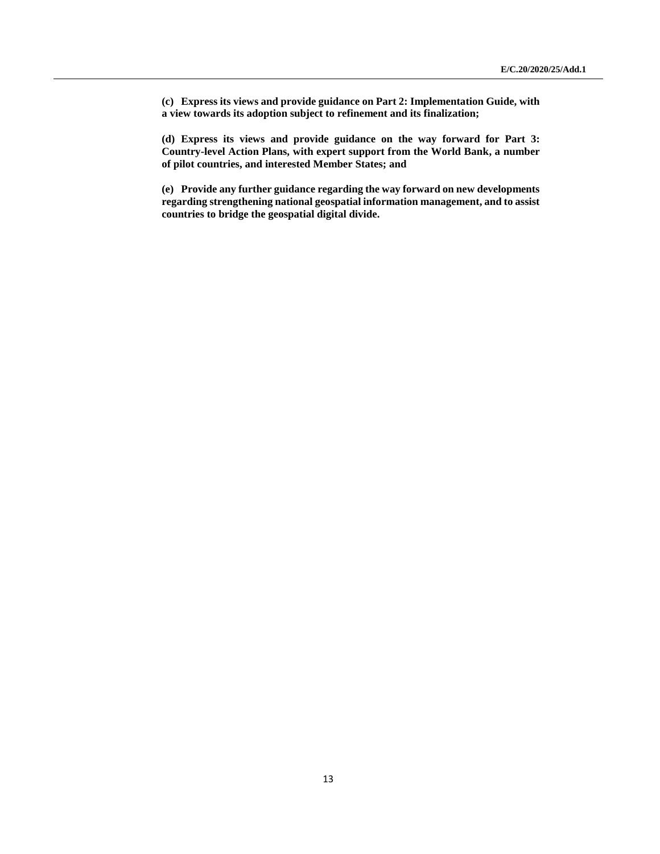**(c) Express its views and provide guidance on Part 2: Implementation Guide, with a view towards its adoption subject to refinement and its finalization;**

**(d) Express its views and provide guidance on the way forward for Part 3: Country-level Action Plans, with expert support from the World Bank, a number of pilot countries, and interested Member States; and**

**(e) Provide any further guidance regarding the way forward on new developments regarding strengthening national geospatial information management, and to assist countries to bridge the geospatial digital divide.**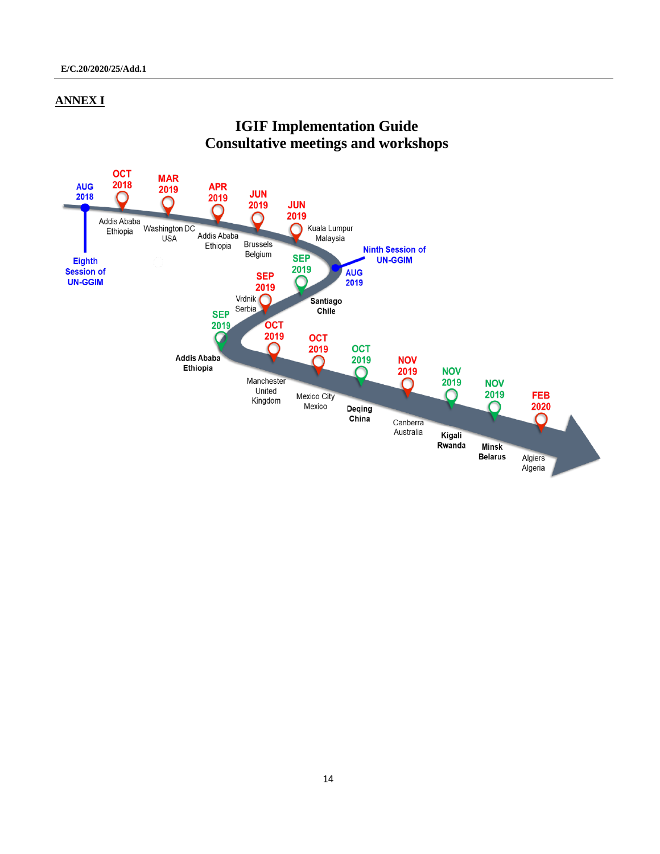### **ANNEX I**

# **IGIF Implementation Guide Consultative meetings and workshops**

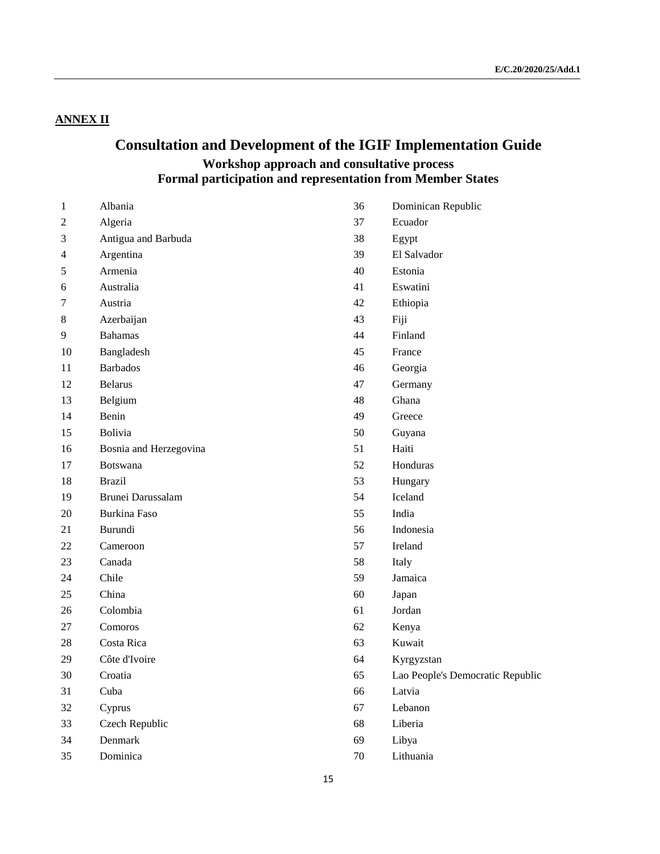### **ANNEX II**

# **Consultation and Development of the IGIF Implementation Guide Workshop approach and consultative process Formal participation and representation from Member States**

| $\mathbf{1}$   | Albania                | 36     | Dominican Republic               |
|----------------|------------------------|--------|----------------------------------|
| $\overline{c}$ | Algeria                | 37     | Ecuador                          |
| 3              | Antigua and Barbuda    | 38     | Egypt                            |
| 4              | Argentina              | 39     | El Salvador                      |
| 5              | Armenia                | 40     | Estonia                          |
| 6              | Australia              | 41     | Eswatini                         |
| 7              | Austria                | 42     | Ethiopia                         |
| 8              | Azerbaijan             | 43     | Fiji                             |
| 9              | <b>Bahamas</b>         | 44     | Finland                          |
| 10             | Bangladesh             | 45     | France                           |
| 11             | <b>Barbados</b>        | 46     | Georgia                          |
| 12             | <b>Belarus</b>         | 47     | Germany                          |
| 13             | Belgium                | 48     | Ghana                            |
| 14             | Benin                  | 49     | Greece                           |
| 15             | Bolivia                | 50     | Guyana                           |
| 16             | Bosnia and Herzegovina | 51     | Haiti                            |
| 17             | <b>Botswana</b>        | 52     | Honduras                         |
| 18             | <b>Brazil</b>          | 53     | Hungary                          |
| 19             | Brunei Darussalam      | 54     | Iceland                          |
| 20             | <b>Burkina Faso</b>    | 55     | India                            |
| 21             | Burundi                | 56     | Indonesia                        |
| 22             | Cameroon               | 57     | Ireland                          |
| 23             | Canada                 | 58     | Italy                            |
| 24             | Chile                  | 59     | Jamaica                          |
| 25             | China                  | 60     | Japan                            |
| 26             | Colombia               | 61     | Jordan                           |
| 27             | Comoros                | 62     | Kenya                            |
| 28             | Costa Rica             | 63     | Kuwait                           |
| 29             | Côte d'Ivoire          | 64     | Kyrgyzstan                       |
| 30             | Croatia                | 65     | Lao People's Democratic Republic |
| 31             | Cuba                   | 66     | Latvia                           |
| 32             | Cyprus                 | 67     | Lebanon                          |
| 33             | Czech Republic         | 68     | Liberia                          |
| 34             | Denmark                | 69     | Libya                            |
| 35             | Dominica               | $70\,$ | Lithuania                        |
|                |                        |        |                                  |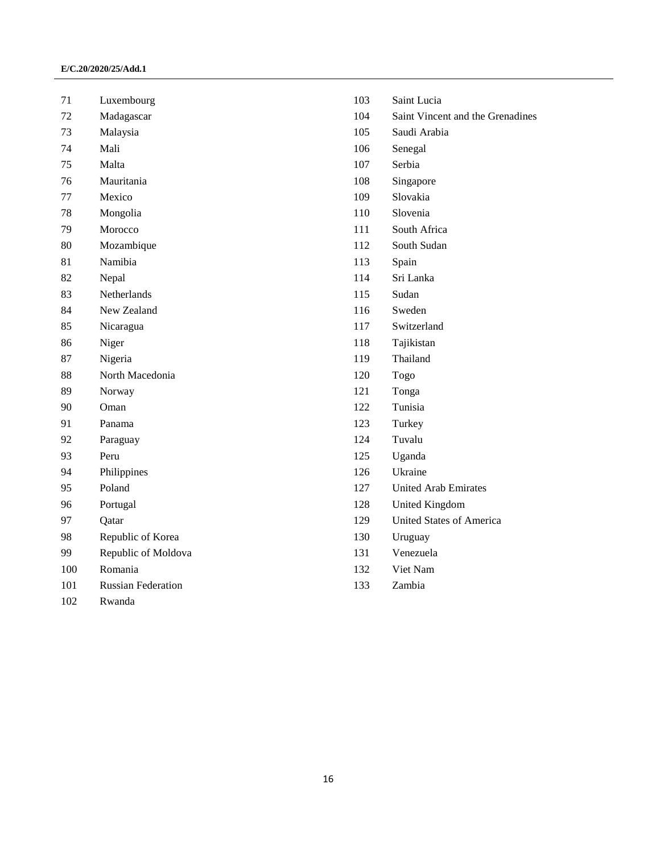| 71  | Luxembourg                | 103 | Saint Lucia                      |
|-----|---------------------------|-----|----------------------------------|
| 72  | Madagascar                | 104 | Saint Vincent and the Grenadines |
| 73  | Malaysia                  | 105 | Saudi Arabia                     |
| 74  | Mali                      | 106 | Senegal                          |
| 75  | Malta                     | 107 | Serbia                           |
| 76  | Mauritania                | 108 | Singapore                        |
| 77  | Mexico                    | 109 | Slovakia                         |
| 78  | Mongolia                  | 110 | Slovenia                         |
| 79  | Morocco                   | 111 | South Africa                     |
| 80  | Mozambique                | 112 | South Sudan                      |
| 81  | Namibia                   | 113 | Spain                            |
| 82  | Nepal                     | 114 | Sri Lanka                        |
| 83  | Netherlands               | 115 | Sudan                            |
| 84  | New Zealand               | 116 | Sweden                           |
| 85  | Nicaragua                 | 117 | Switzerland                      |
| 86  | Niger                     | 118 | Tajikistan                       |
| 87  | Nigeria                   | 119 | Thailand                         |
| 88  | North Macedonia           | 120 | Togo                             |
| 89  | Norway                    | 121 | Tonga                            |
| 90  | Oman                      | 122 | Tunisia                          |
| 91  | Panama                    | 123 | Turkey                           |
| 92  | Paraguay                  | 124 | Tuvalu                           |
| 93  | Peru                      | 125 | Uganda                           |
| 94  | Philippines               | 126 | Ukraine                          |
| 95  | Poland                    | 127 | United Arab Emirates             |
| 96  | Portugal                  | 128 | <b>United Kingdom</b>            |
| 97  | Qatar                     | 129 | <b>United States of America</b>  |
| 98  | Republic of Korea         | 130 | Uruguay                          |
| 99  | Republic of Moldova       | 131 | Venezuela                        |
| 100 | Romania                   | 132 | Viet Nam                         |
| 101 | <b>Russian Federation</b> | 133 | Zambia                           |
| 102 | Rwanda                    |     |                                  |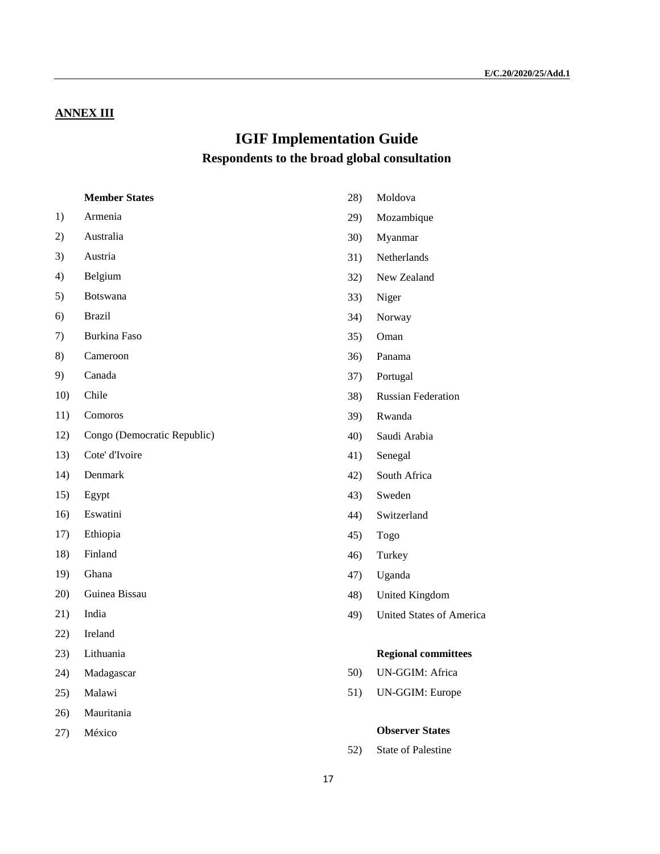### **ANNEX III**

## **IGIF Implementation Guide Respondents to the broad global consultation**

### **Member States**

- 1) Armenia
- 2) Australia
- 3) Austria
- 4) Belgium
- 5) Botswana
- 6) Brazil
- 7) Burkina Faso
- 8) Cameroon
- 9) Canada
- 10) Chile
- 11) Comoros
- 12) Congo (Democratic Republic)
- 13) Cote' d'Ivoire
- 14) Denmark
- 15) Egypt
- 16) Eswatini
- 17) Ethiopia
- 18) Finland
- 19) Ghana
- 20) Guinea Bissau
- 21) India
- 22) Ireland
- 23) Lithuania
- 24) Madagascar
- 25) Malawi
- 26) Mauritania
- 27) México
- 28) Moldova
- 29) Mozambique
- 30) Myanmar
- 31) Netherlands
- 32) New Zealand
- 33) Niger
- 34) Norway
- 35) Oman
- 36) Panama
- 37) Portugal
- 38) Russian Federation
- 39) Rwanda
- 40) Saudi Arabia
- 41) Senegal
- 42) South Africa
- 43) Sweden
- 44) Switzerland
- 45) Togo
- 46) Turkey
- 47) Uganda
- 48) United Kingdom
- 49) United States of America

#### **Regional committees**

- 50) UN-GGIM: Africa
- 51) UN-GGIM: Europe

#### **Observer States**

52) State of Palestine